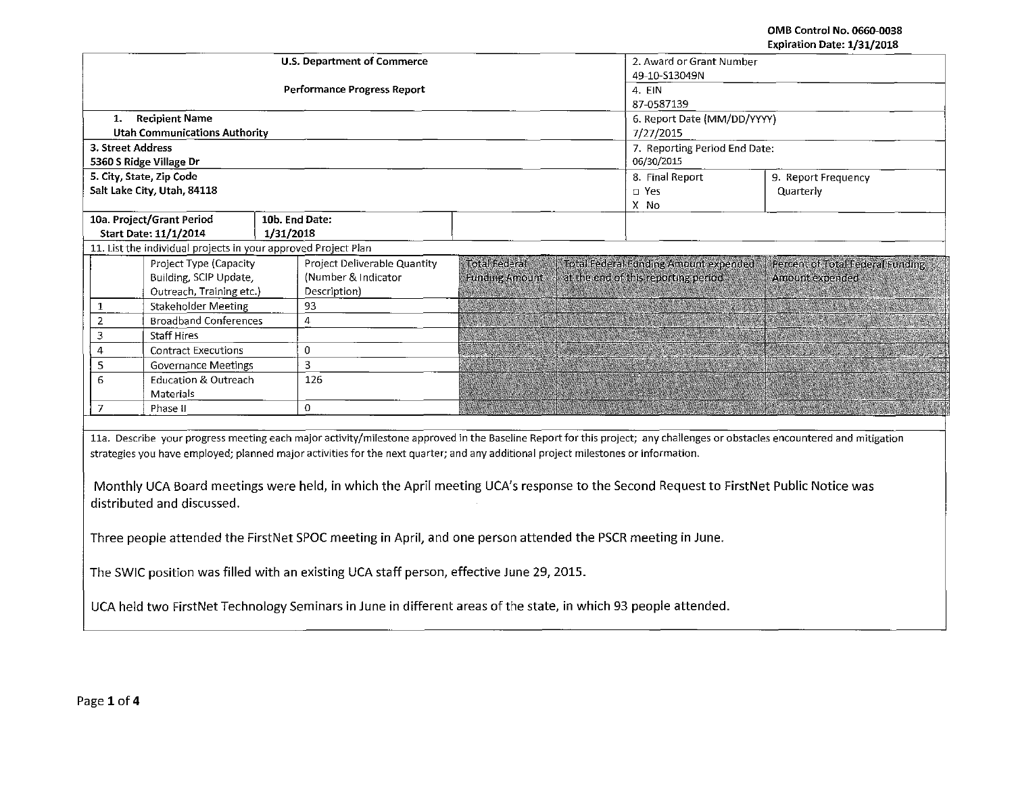**OMB Control No. 0660-0038**  Expiration Date: 1/31/2018

|                                                   |                                                                |           |                                                                                                                                                                                                                                                                           |                       |                             |                                        | Expiration Date: 1/31/2018                                                                                                                                                 |  |  |
|---------------------------------------------------|----------------------------------------------------------------|-----------|---------------------------------------------------------------------------------------------------------------------------------------------------------------------------------------------------------------------------------------------------------------------------|-----------------------|-----------------------------|----------------------------------------|----------------------------------------------------------------------------------------------------------------------------------------------------------------------------|--|--|
|                                                   |                                                                |           | <b>U.S. Department of Commerce</b>                                                                                                                                                                                                                                        |                       |                             | 2. Award or Grant Number               |                                                                                                                                                                            |  |  |
|                                                   |                                                                |           |                                                                                                                                                                                                                                                                           |                       |                             | 49-10-S13049N                          |                                                                                                                                                                            |  |  |
|                                                   |                                                                |           | Performance Progress Report                                                                                                                                                                                                                                               |                       |                             | $4.$ EIN                               |                                                                                                                                                                            |  |  |
|                                                   |                                                                |           |                                                                                                                                                                                                                                                                           |                       |                             | 87-0587139                             |                                                                                                                                                                            |  |  |
|                                                   | 1. Recipient Name                                              |           |                                                                                                                                                                                                                                                                           |                       | 6. Report Date (MM/DD/YYYY) |                                        |                                                                                                                                                                            |  |  |
| <b>Utah Communications Authority</b><br>7/27/2015 |                                                                |           |                                                                                                                                                                                                                                                                           |                       |                             |                                        |                                                                                                                                                                            |  |  |
| 3. Street Address                                 |                                                                |           |                                                                                                                                                                                                                                                                           |                       |                             | 7. Reporting Period End Date:          |                                                                                                                                                                            |  |  |
|                                                   | 5360 S Ridge Village Dr                                        |           |                                                                                                                                                                                                                                                                           |                       |                             | 06/30/2015                             |                                                                                                                                                                            |  |  |
|                                                   | 5. City, State, Zip Code                                       |           |                                                                                                                                                                                                                                                                           |                       |                             | 8. Final Report<br>9. Report Frequency |                                                                                                                                                                            |  |  |
|                                                   | Salt Lake City, Utah, 84118                                    |           |                                                                                                                                                                                                                                                                           |                       |                             | □ Yes                                  | Quarterly                                                                                                                                                                  |  |  |
|                                                   |                                                                |           |                                                                                                                                                                                                                                                                           |                       |                             | X No                                   |                                                                                                                                                                            |  |  |
|                                                   | 10a. Project/Grant Period                                      |           | 10b. End Date:                                                                                                                                                                                                                                                            |                       |                             |                                        |                                                                                                                                                                            |  |  |
|                                                   | Start Date: 11/1/2014                                          | 1/31/2018 |                                                                                                                                                                                                                                                                           |                       |                             |                                        |                                                                                                                                                                            |  |  |
|                                                   | 11. List the individual projects in your approved Project Plan |           |                                                                                                                                                                                                                                                                           |                       |                             |                                        |                                                                                                                                                                            |  |  |
|                                                   | Project Type (Capacity                                         |           | Project Deliverable Quantity                                                                                                                                                                                                                                              | Total Federal         |                             | Total Federal Funding Amount expended  | Percent of Total Federal Funding                                                                                                                                           |  |  |
|                                                   | Building, SCIP Update,                                         |           | (Number & Indicator                                                                                                                                                                                                                                                       | <b>Funding Amount</b> |                             | at the end of this reporting period    | Amount expended                                                                                                                                                            |  |  |
|                                                   | Outreach, Training etc.)                                       |           | Description)                                                                                                                                                                                                                                                              |                       |                             |                                        |                                                                                                                                                                            |  |  |
| 1                                                 | <b>Stakeholder Meeting</b>                                     |           | 93                                                                                                                                                                                                                                                                        |                       |                             |                                        |                                                                                                                                                                            |  |  |
| $\overline{2}$                                    | <b>Broadband Conferences</b>                                   |           | 4                                                                                                                                                                                                                                                                         |                       |                             |                                        |                                                                                                                                                                            |  |  |
| $\overline{3}$                                    | <b>Staff Hires</b>                                             |           |                                                                                                                                                                                                                                                                           |                       |                             |                                        |                                                                                                                                                                            |  |  |
| $\overline{4}$                                    | <b>Contract Executions</b>                                     |           | 0                                                                                                                                                                                                                                                                         |                       |                             |                                        |                                                                                                                                                                            |  |  |
| 5                                                 | <b>Governance Meetings</b>                                     |           | 3                                                                                                                                                                                                                                                                         |                       |                             |                                        |                                                                                                                                                                            |  |  |
| 6                                                 | <b>Education &amp; Outreach</b>                                |           | 126                                                                                                                                                                                                                                                                       |                       |                             |                                        |                                                                                                                                                                            |  |  |
|                                                   | Materials                                                      |           |                                                                                                                                                                                                                                                                           |                       |                             |                                        |                                                                                                                                                                            |  |  |
| 7                                                 | Phase II                                                       |           | 0                                                                                                                                                                                                                                                                         |                       |                             |                                        |                                                                                                                                                                            |  |  |
|                                                   |                                                                |           |                                                                                                                                                                                                                                                                           |                       |                             |                                        |                                                                                                                                                                            |  |  |
|                                                   | distributed and discussed.                                     |           | strategies you have employed; planned major activities for the next quarter; and any additional project milestones or information.<br>Monthly UCA Board meetings were held, in which the April meeting UCA's response to the Second Request to FirstNet Public Notice was |                       |                             |                                        | 11a. Describe your progress meeting each major activity/milestone approved in the Baseline Report for this project; any challenges or obstacles encountered and mitigation |  |  |
|                                                   |                                                                |           | Three people attended the FirstNet SPOC meeting in April, and one person attended the PSCR meeting in June.                                                                                                                                                               |                       |                             |                                        |                                                                                                                                                                            |  |  |
|                                                   |                                                                |           | The SWIC position was filled with an existing UCA staff person, effective June 29, 2015.                                                                                                                                                                                  |                       |                             |                                        |                                                                                                                                                                            |  |  |
|                                                   |                                                                |           | UCA held two FirstNet Technology Seminars in June in different areas of the state, in which 93 people attended.                                                                                                                                                           |                       |                             |                                        |                                                                                                                                                                            |  |  |
|                                                   |                                                                |           |                                                                                                                                                                                                                                                                           |                       |                             |                                        |                                                                                                                                                                            |  |  |
|                                                   |                                                                |           |                                                                                                                                                                                                                                                                           |                       |                             |                                        |                                                                                                                                                                            |  |  |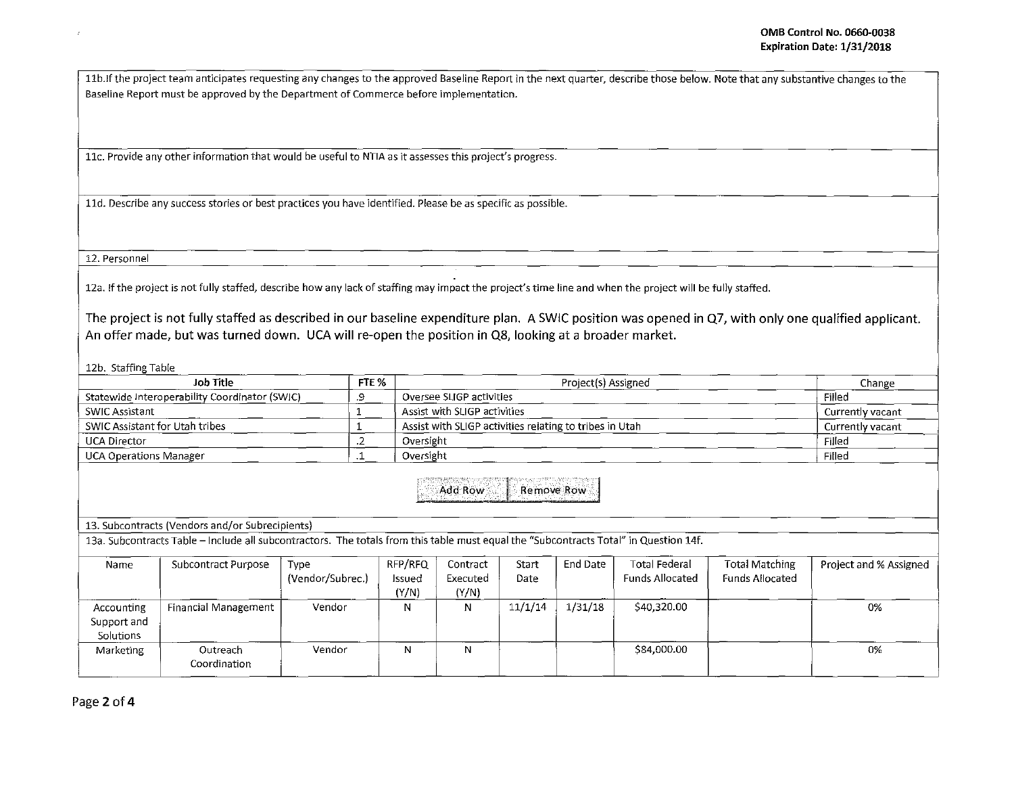11b. If the project team anticipates requesting any changes to the approved Baseline Report in the next quarter, describe those below. Note that any substantive changes to the Baseline Report must be approved by the Department of Commerce before implementation.

llc. Provide any other information that would be useful to NTIA as it assesses this project's progress.

lld. Describe any success stories or best practices you have identified. Please be as specific as possible.

12. Personnel

12a. If the project is not fully staffed, describe how any lack of staffing may impact the project's time line and when the project will be fully staffed.

The project is not fully staffed as described in our baseline expenditure plan. A SWIC position was opened in Q7, with only one qualified applicant. An offer made, but was turned down. UCA will re-open the position in QS, looking at a broader market.

12b. Staffing Table

|                                        | FTE %<br>Project(s) Assigned<br>Job Title                                                                                                                                                |                          |                   |                                                         |               |          | Change                                         |                                          |                        |
|----------------------------------------|------------------------------------------------------------------------------------------------------------------------------------------------------------------------------------------|--------------------------|-------------------|---------------------------------------------------------|---------------|----------|------------------------------------------------|------------------------------------------|------------------------|
|                                        | Statewide Interoperability Coordinator (SWIC)                                                                                                                                            | .9                       |                   | Oversee SLIGP activities<br>Filed                       |               |          |                                                |                                          |                        |
| SWIC Assistant                         |                                                                                                                                                                                          |                          |                   | Assist with SLIGP activities                            |               |          |                                                |                                          | Currently vacant       |
| <b>SWIC Assistant for Utah tribes</b>  |                                                                                                                                                                                          |                          |                   | Assist with SLIGP activities relating to tribes in Utah |               |          | Currently vacant                               |                                          |                        |
| <b>UCA Director</b>                    |                                                                                                                                                                                          | .2                       | Oversight         |                                                         |               |          |                                                |                                          | Filled                 |
| <b>UCA Operations Manager</b>          |                                                                                                                                                                                          | .1                       | Oversight         |                                                         | Filled        |          |                                                |                                          |                        |
|                                        | 13. Subcontracts (Vendors and/or Subrecipients)<br>13a. Subcontracts Table - Include all subcontractors. The totals from this table must equal the "Subcontracts Total" in Question 14f. |                          |                   | Add Row                                                 | Remove Row    |          |                                                |                                          |                        |
| Name                                   | Subcontract Purpose                                                                                                                                                                      | Type<br>(Vendor/Subrec.) | RFP/RFQ<br>Issued | Contract<br>Executed                                    | Start<br>Date | End Date | <b>Total Federal</b><br><b>Funds Allocated</b> | Total Matching<br><b>Funds Allocated</b> | Project and % Assigned |
|                                        |                                                                                                                                                                                          |                          | (Y/N)             | (Y/N)                                                   |               |          |                                                |                                          |                        |
| Accounting<br>Support and<br>Solutions | <b>Financial Management</b>                                                                                                                                                              | Vendor                   | N                 | N                                                       | 11/1/14       | 1/31/18  | \$40,320.00                                    |                                          | $0\%$                  |
| Marketing                              | Outreach<br>Coordination                                                                                                                                                                 | Vendor                   | N                 | N                                                       |               |          | \$84,000.00                                    |                                          | $0\%$                  |

Page 2 of 4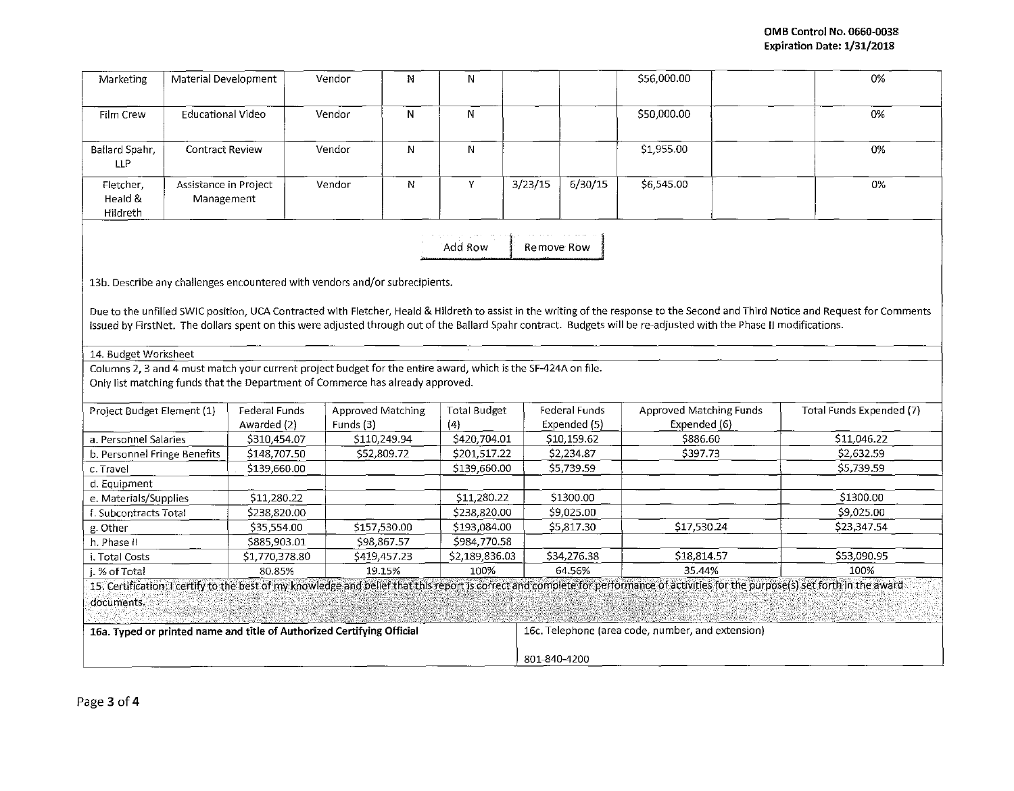| Marketing                                                                   | Material Development                |                                                                                                                                                                                                 | Vendor            | N                           | N                                                                 |            |                           | \$56,000.00                                                                                                                                                         |  | 0%                                                                                                                                                                                   |
|-----------------------------------------------------------------------------|-------------------------------------|-------------------------------------------------------------------------------------------------------------------------------------------------------------------------------------------------|-------------------|-----------------------------|-------------------------------------------------------------------|------------|---------------------------|---------------------------------------------------------------------------------------------------------------------------------------------------------------------|--|--------------------------------------------------------------------------------------------------------------------------------------------------------------------------------------|
| Film Crew                                                                   | <b>Educational Video</b>            |                                                                                                                                                                                                 | Vendor            | N                           | N                                                                 |            |                           | \$50,000.00                                                                                                                                                         |  | 0%                                                                                                                                                                                   |
| Ballard Spahr,<br>LLP                                                       | <b>Contract Review</b>              |                                                                                                                                                                                                 | Vendor            | N                           | N                                                                 |            |                           | \$1,955.00                                                                                                                                                          |  | 0%                                                                                                                                                                                   |
| Fletcher,<br>Heald &<br>Hildreth                                            | Assistance in Project<br>Management |                                                                                                                                                                                                 | Vendor            | N                           | Y                                                                 | 3/23/15    | 6/30/15                   | \$6,545.00                                                                                                                                                          |  | 0%                                                                                                                                                                                   |
|                                                                             |                                     |                                                                                                                                                                                                 |                   |                             | Add Row                                                           | Remove Row |                           |                                                                                                                                                                     |  |                                                                                                                                                                                      |
| 13b. Describe any challenges encountered with vendors and/or subrecipients. |                                     |                                                                                                                                                                                                 |                   |                             |                                                                   |            |                           |                                                                                                                                                                     |  |                                                                                                                                                                                      |
| 14. Budget Worksheet                                                        |                                     | Columns 2, 3 and 4 must match your current project budget for the entire award, which is the SF-424A on file.<br>Only list matching funds that the Department of Commerce has already approved. |                   |                             |                                                                   |            |                           | issued by FirstNet. The dollars spent on this were adjusted through out of the Ballard Spahr contract. Budgets will be re-adjusted with the Phase II modifications. |  | Due to the unfilled SWIC position, UCA Contracted with Fletcher, Heald & Hildreth to assist in the writing of the response to the Second and Third Notice and Request for Comments   |
| Project Budget Element (1)                                                  |                                     | <b>Federal Funds</b>                                                                                                                                                                            | Approved Matching |                             | <b>Total Budget</b>                                               |            | Federal Funds             | <b>Approved Matching Funds</b>                                                                                                                                      |  | Total Funds Expended (7)                                                                                                                                                             |
|                                                                             |                                     | Awarded (2)                                                                                                                                                                                     | Funds (3)         |                             | (4)                                                               |            | Expended (5)              | Expended (6)                                                                                                                                                        |  |                                                                                                                                                                                      |
| a. Personnel Salaries<br>b. Personnel Fringe Benefits                       |                                     | \$310,454.07<br>\$148,707.50                                                                                                                                                                    |                   | \$110,249.94<br>\$52,809.72 | \$420,704.01<br>\$201,517.22                                      |            | \$10,159.62<br>\$2,234.87 | \$886.60<br>\$397.73                                                                                                                                                |  | \$11,046.22<br>\$2,632.59                                                                                                                                                            |
| c. Travel                                                                   |                                     | \$139,660.00                                                                                                                                                                                    |                   |                             | \$139,660.00                                                      |            | \$5,739.59                |                                                                                                                                                                     |  | \$5,739.59                                                                                                                                                                           |
| d. Equipment                                                                |                                     |                                                                                                                                                                                                 |                   |                             |                                                                   |            |                           |                                                                                                                                                                     |  |                                                                                                                                                                                      |
| e. Materials/Supplies                                                       |                                     | \$11,280.22                                                                                                                                                                                     |                   |                             | \$11,280.22                                                       |            | \$1300.00                 |                                                                                                                                                                     |  | \$1300.00                                                                                                                                                                            |
| f. Subcontracts Total                                                       |                                     | \$238,820.00                                                                                                                                                                                    |                   |                             | \$238,820.00                                                      |            | \$9,025.00                |                                                                                                                                                                     |  | \$9,025.00                                                                                                                                                                           |
| g. Other                                                                    |                                     | \$35,554.00                                                                                                                                                                                     |                   | \$157,530.00                | \$193,084.00                                                      |            | \$5,817.30                | \$17,530.24                                                                                                                                                         |  | \$23,347.54                                                                                                                                                                          |
| h. Phase II                                                                 |                                     | \$885,903.01                                                                                                                                                                                    |                   | \$98,867.57                 | \$984,770.58                                                      |            |                           |                                                                                                                                                                     |  |                                                                                                                                                                                      |
| i. Total Costs                                                              |                                     | \$1,770,378.80                                                                                                                                                                                  |                   | \$419,457.23                | \$2,189,836.03                                                    |            | \$34,276.38               | \$18,814.57                                                                                                                                                         |  | \$53,090.95                                                                                                                                                                          |
| i. % of Total                                                               |                                     | 80.85%                                                                                                                                                                                          |                   | 19.15%                      | 100%                                                              |            | 64.56%                    | 35.44%                                                                                                                                                              |  | 100%                                                                                                                                                                                 |
|                                                                             |                                     |                                                                                                                                                                                                 |                   |                             |                                                                   |            |                           |                                                                                                                                                                     |  | 15. Certification: I certify to the best of my knowledge and belief that this report is correct and complete for performance of activities for the purpose(s) set forth in the award |
| documents.                                                                  |                                     |                                                                                                                                                                                                 |                   |                             |                                                                   |            |                           |                                                                                                                                                                     |  |                                                                                                                                                                                      |
| 16a. Typed or printed name and title of Authorized Certifying Official      |                                     |                                                                                                                                                                                                 |                   |                             | 16c. Telephone (area code, number, and extension)<br>801-840-4200 |            |                           |                                                                                                                                                                     |  |                                                                                                                                                                                      |